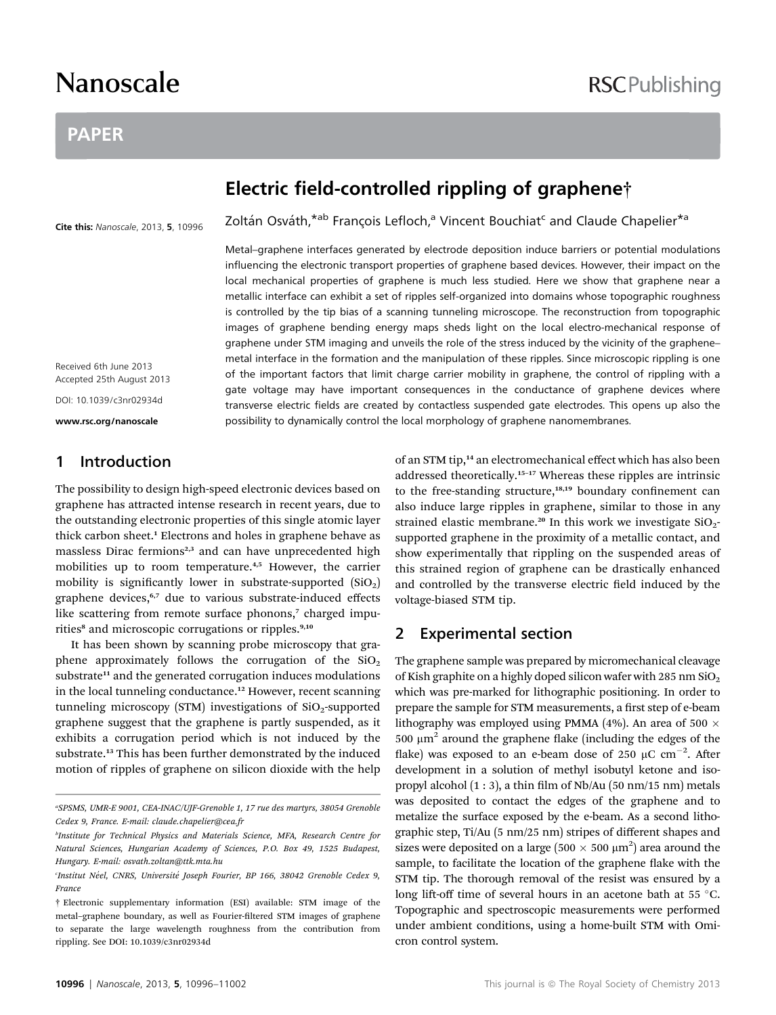# Nanoscale

### PAPER

## Electric field-controlled rippling of graphene†

Zoltán Osváth, \*ab François Lefloch,<sup>a</sup> Vincent Bouchiat<sup>c</sup> and Claude Chapelier<sup>\*a</sup>

Cite this: Nanoscale, 2013, 5, 10996

Received 6th June 2013 Accepted 25th August 2013

DOI: 10.1039/c3nr02934d

www.rsc.org/nanoscale

#### 1 Introduction

The possibility to design high-speed electronic devices based on graphene has attracted intense research in recent years, due to the outstanding electronic properties of this single atomic layer thick carbon sheet.<sup>1</sup> Electrons and holes in graphene behave as massless Dirac fermions<sup>2,3</sup> and can have unprecedented high mobilities up to room temperature.4,5 However, the carrier mobility is significantly lower in substrate-supported  $(SiO<sub>2</sub>)$ graphene devices,<sup>6,7</sup> due to various substrate-induced effects like scattering from remote surface phonons,<sup>7</sup> charged impurities<sup>8</sup> and microscopic corrugations or ripples.<sup>9,10</sup>

It has been shown by scanning probe microscopy that graphene approximately follows the corrugation of the  $SiO<sub>2</sub>$ substrate<sup>11</sup> and the generated corrugation induces modulations in the local tunneling conductance.<sup>12</sup> However, recent scanning tunneling microscopy (STM) investigations of  $SiO<sub>2</sub>$ -supported graphene suggest that the graphene is partly suspended, as it exhibits a corrugation period which is not induced by the substrate.<sup>13</sup> This has been further demonstrated by the induced motion of ripples of graphene on silicon dioxide with the help

Metal–graphene interfaces generated by electrode deposition induce barriers or potential modulations influencing the electronic transport properties of graphene based devices. However, their impact on the local mechanical properties of graphene is much less studied. Here we show that graphene near a metallic interface can exhibit a set of ripples self-organized into domains whose topographic roughness is controlled by the tip bias of a scanning tunneling microscope. The reconstruction from topographic images of graphene bending energy maps sheds light on the local electro-mechanical response of graphene under STM imaging and unveils the role of the stress induced by the vicinity of the graphene– metal interface in the formation and the manipulation of these ripples. Since microscopic rippling is one of the important factors that limit charge carrier mobility in graphene, the control of rippling with a gate voltage may have important consequences in the conductance of graphene devices where transverse electric fields are created by contactless suspended gate electrodes. This opens up also the possibility to dynamically control the local morphology of graphene nanomembranes.

> of an STM tip,<sup>14</sup> an electromechanical effect which has also been addressed theoretically.<sup>15</sup>–<sup>17</sup> Whereas these ripples are intrinsic to the free-standing structure, $18,19}$  boundary confinement can also induce large ripples in graphene, similar to those in any strained elastic membrane.<sup>20</sup> In this work we investigate  $SiO<sub>2</sub>$ supported graphene in the proximity of a metallic contact, and show experimentally that rippling on the suspended areas of this strained region of graphene can be drastically enhanced and controlled by the transverse electric field induced by the voltage-biased STM tip.

#### 2 Experimental section

The graphene sample was prepared by micromechanical cleavage of Kish graphite on a highly doped silicon wafer with 285 nm  $SiO<sub>2</sub>$ which was pre-marked for lithographic positioning. In order to prepare the sample for STM measurements, a first step of e-beam lithography was employed using PMMA (4%). An area of 500  $\times$ 500  $\mu$ m<sup>2</sup> around the graphene flake (including the edges of the flake) was exposed to an e-beam dose of 250  $\mu$ C cm<sup>-2</sup>. After development in a solution of methyl isobutyl ketone and isopropyl alcohol (1:3), a thin film of Nb/Au (50 nm/15 nm) metals was deposited to contact the edges of the graphene and to metalize the surface exposed by the e-beam. As a second lithographic step, Ti/Au (5 nm/25 nm) stripes of different shapes and sizes were deposited on a large (500  $\times$  500  $\mu$ m<sup>2</sup>) area around the sample, to facilitate the location of the graphene flake with the STM tip. The thorough removal of the resist was ensured by a long lift-off time of several hours in an acetone bath at 55  $^{\circ}$ C. Topographic and spectroscopic measurements were performed under ambient conditions, using a home-built STM with Omicron control system.

a SPSMS, UMR-E 9001, CEA-INAC/UJF-Grenoble 1, 17 rue des martyrs, 38054 Grenoble Cedex 9, France. E-mail: claude.chapelier@cea.fr

b Institute for Technical Physics and Materials Science, MFA, Research Centre for Natural Sciences, Hungarian Academy of Sciences, P.O. Box 49, 1525 Budapest, Hungary. E-mail: osvath.zoltan@ttk.mta.hu

Institut Néel, CNRS, Université Joseph Fourier, BP 166, 38042 Grenoble Cedex 9, France

<sup>†</sup> Electronic supplementary information (ESI) available: STM image of the metal-graphene boundary, as well as Fourier-filtered STM images of graphene to separate the large wavelength roughness from the contribution from rippling. See DOI: 10.1039/c3nr02934d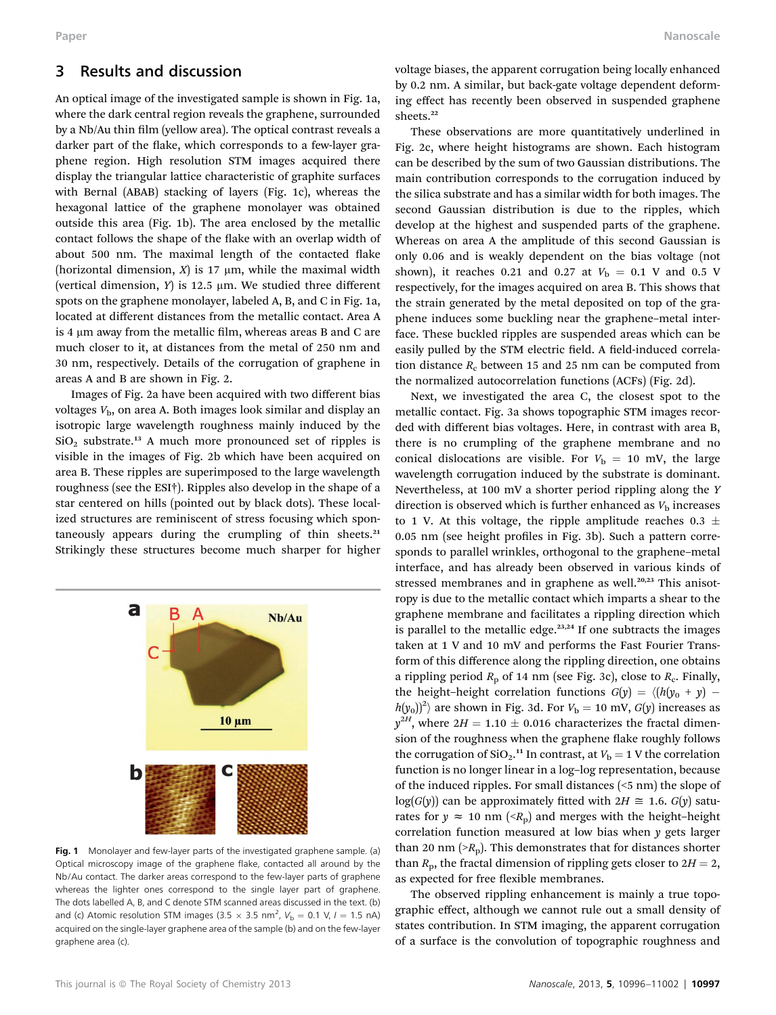#### 3 Results and discussion

An optical image of the investigated sample is shown in Fig. 1a, where the dark central region reveals the graphene, surrounded by a Nb/Au thin film (yellow area). The optical contrast reveals a darker part of the flake, which corresponds to a few-layer graphene region. High resolution STM images acquired there display the triangular lattice characteristic of graphite surfaces with Bernal (ABAB) stacking of layers (Fig. 1c), whereas the hexagonal lattice of the graphene monolayer was obtained outside this area (Fig. 1b). The area enclosed by the metallic contact follows the shape of the flake with an overlap width of about 500 nm. The maximal length of the contacted flake (horizontal dimension,  $X$ ) is 17  $\mu$ m, while the maximal width (vertical dimension,  $Y$ ) is 12.5  $\mu$ m. We studied three different spots on the graphene monolayer, labeled A, B, and C in Fig. 1a, located at different distances from the metallic contact. Area A is 4  $\mu$ m away from the metallic film, whereas areas B and C are much closer to it, at distances from the metal of 250 nm and 30 nm, respectively. Details of the corrugation of graphene in areas A and B are shown in Fig. 2.

Images of Fig. 2a have been acquired with two different bias voltages  $V<sub>b</sub>$ , on area A. Both images look similar and display an isotropic large wavelength roughness mainly induced by the SiO2 substrate.<sup>13</sup> A much more pronounced set of ripples is visible in the images of Fig. 2b which have been acquired on area B. These ripples are superimposed to the large wavelength roughness (see the ESI†). Ripples also develop in the shape of a star centered on hills (pointed out by black dots). These localized structures are reminiscent of stress focusing which spontaneously appears during the crumpling of thin sheets.<sup>21</sup> Strikingly these structures become much sharper for higher



Fig. 1 Monolayer and few-layer parts of the investigated graphene sample. (a) Optical microscopy image of the graphene flake, contacted all around by the Nb/Au contact. The darker areas correspond to the few-layer parts of graphene whereas the lighter ones correspond to the single layer part of graphene. The dots labelled A, B, and C denote STM scanned areas discussed in the text. (b) and (c) Atomic resolution STM images (3.5  $\times$  3.5 nm<sup>2</sup>,  $V_{\text{b}} = 0.1$  V,  $I = 1.5$  nA) acquired on the single-layer graphene area of the sample (b) and on the few-layer graphene area (c).

voltage biases, the apparent corrugation being locally enhanced by 0.2 nm. A similar, but back-gate voltage dependent deforming effect has recently been observed in suspended graphene sheets.<sup>22</sup>

These observations are more quantitatively underlined in Fig. 2c, where height histograms are shown. Each histogram can be described by the sum of two Gaussian distributions. The main contribution corresponds to the corrugation induced by the silica substrate and has a similar width for both images. The second Gaussian distribution is due to the ripples, which develop at the highest and suspended parts of the graphene. Whereas on area A the amplitude of this second Gaussian is only 0.06 and is weakly dependent on the bias voltage (not shown), it reaches 0.21 and 0.27 at  $V<sub>b</sub> = 0.1$  V and 0.5 V respectively, for the images acquired on area B. This shows that the strain generated by the metal deposited on top of the graphene induces some buckling near the graphene–metal interface. These buckled ripples are suspended areas which can be easily pulled by the STM electric field. A field-induced correlation distance  $R_c$  between 15 and 25 nm can be computed from the normalized autocorrelation functions (ACFs) (Fig. 2d).

Next, we investigated the area C, the closest spot to the metallic contact. Fig. 3a shows topographic STM images recorded with different bias voltages. Here, in contrast with area B, there is no crumpling of the graphene membrane and no conical dislocations are visible. For  $V<sub>b</sub> = 10$  mV, the large wavelength corrugation induced by the substrate is dominant. Nevertheless, at 100 mV a shorter period rippling along the Y direction is observed which is further enhanced as  $V<sub>b</sub>$  increases to 1 V. At this voltage, the ripple amplitude reaches 0.3  $\pm$  $0.05$  nm (see height profiles in Fig. 3b). Such a pattern corresponds to parallel wrinkles, orthogonal to the graphene–metal interface, and has already been observed in various kinds of stressed membranes and in graphene as well.<sup>20,23</sup> This anisotropy is due to the metallic contact which imparts a shear to the graphene membrane and facilitates a rippling direction which is parallel to the metallic edge. $23,24$  If one subtracts the images taken at 1 V and 10 mV and performs the Fast Fourier Transform of this difference along the rippling direction, one obtains a rippling period  $R_p$  of 14 nm (see Fig. 3c), close to  $R_c$ . Finally, the height–height correlation functions  $G(y) = \langle (h(y_0 + y))$  $h(y_0)$ <sup>2</sup>) are shown in Fig. 3d. For  $V<sub>b</sub> = 10$  mV,  $G(y)$  increases as  $y^{2H}$ , where  $2H = 1.10 \pm 0.016$  characterizes the fractal dimension of the roughness when the graphene flake roughly follows the corrugation of  $SiO_2$ .<sup>11</sup> In contrast, at  $V_b = 1$  V the correlation function is no longer linear in a log–log representation, because of the induced ripples. For small distances (<5 nm) the slope of  $log(G(y))$  can be approximately fitted with  $2H \cong 1.6$ .  $G(y)$  saturates for  $y \approx 10$  nm ( $\langle R_p \rangle$ ) and merges with the height-height correlation function measured at low bias when y gets larger than 20 nm  $(>R_p)$ . This demonstrates that for distances shorter than  $R_p$ , the fractal dimension of rippling gets closer to  $2H = 2$ , as expected for free flexible membranes.

The observed rippling enhancement is mainly a true topographic effect, although we cannot rule out a small density of states contribution. In STM imaging, the apparent corrugation of a surface is the convolution of topographic roughness and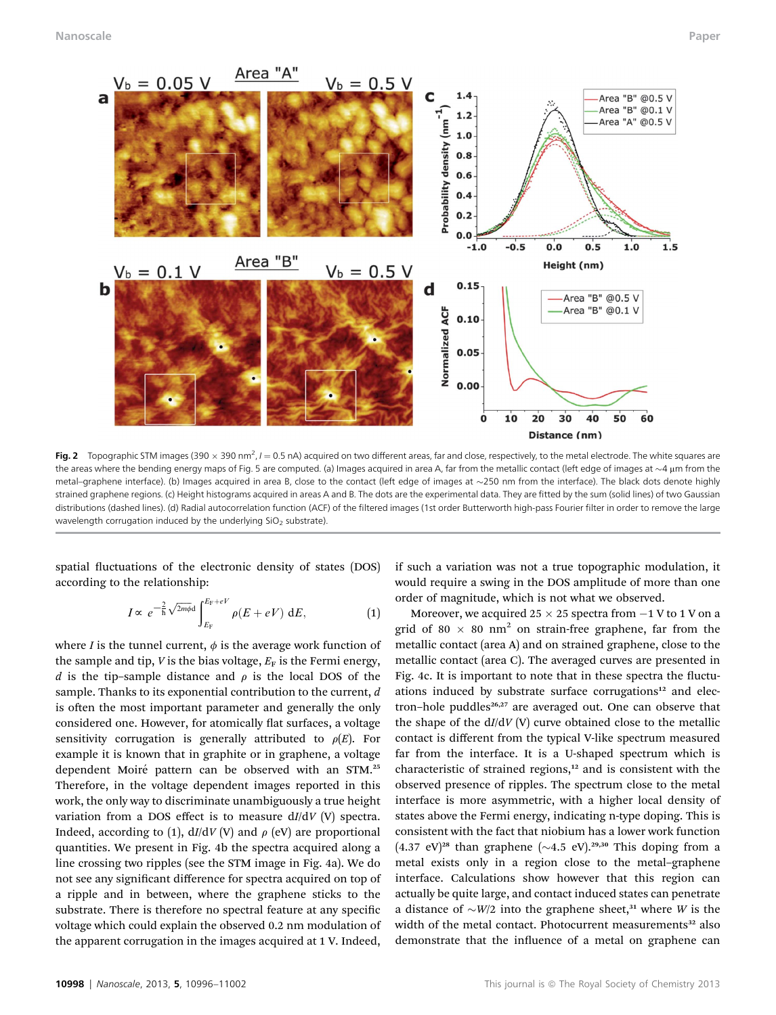

**Fig. 2** Topographic STM images (390  $\times$  390 nm<sup>2</sup>, *I* = 0.5 nA) acquired on two different areas, far and close, respectively, to the metal electrode. The white squares are the areas where the bending energy maps of Fig. 5 are computed. (a) Images acquired in area A, far from the metallic contact (left edge of images at  $\sim$ 4 µm from the metal-graphene interface). (b) Images acquired in area B, close to the contact (left edge of images at ~250 nm from the interface). The black dots denote highly strained graphene regions. (c) Height histograms acquired in areas A and B. The dots are the experimental data. They are fitted by the sum (solid lines) of two Gaussian distributions (dashed lines). (d) Radial autocorrelation function (ACF) of the filtered images (1st order Butterworth high-pass Fourier filter in order to remove the large wavelength corrugation induced by the underlying  $SiO<sub>2</sub>$  substrate).

spatial fluctuations of the electronic density of states (DOS) according to the relationship:

$$
I \propto e^{-\frac{2}{h}\sqrt{2m\phi}d} \int_{E_{\rm F}}^{E_{\rm F}+eV} \rho(E+eV) dE, \tag{1}
$$

where *I* is the tunnel current,  $\phi$  is the average work function of the sample and tip,  $V$  is the bias voltage,  $E_F$  is the Fermi energy, d is the tip–sample distance and  $\rho$  is the local DOS of the sample. Thanks to its exponential contribution to the current, d is often the most important parameter and generally the only considered one. However, for atomically flat surfaces, a voltage sensitivity corrugation is generally attributed to  $\rho(E)$ . For example it is known that in graphite or in graphene, a voltage dependent Moiré pattern can be observed with an STM.<sup>25</sup> Therefore, in the voltage dependent images reported in this work, the only way to discriminate unambiguously a true height variation from a DOS effect is to measure  $dI/dV$  (V) spectra. Indeed, according to (1),  $dI/dV$  (V) and  $\rho$  (eV) are proportional quantities. We present in Fig. 4b the spectra acquired along a line crossing two ripples (see the STM image in Fig. 4a). We do not see any signicant difference for spectra acquired on top of a ripple and in between, where the graphene sticks to the substrate. There is therefore no spectral feature at any specific voltage which could explain the observed 0.2 nm modulation of the apparent corrugation in the images acquired at 1 V. Indeed,

if such a variation was not a true topographic modulation, it would require a swing in the DOS amplitude of more than one order of magnitude, which is not what we observed.

Moreover, we acquired 25  $\times$  25 spectra from  $-1$  V to 1 V on a grid of 80  $\times$  80 nm<sup>2</sup> on strain-free graphene, far from the metallic contact (area A) and on strained graphene, close to the metallic contact (area C). The averaged curves are presented in Fig. 4c. It is important to note that in these spectra the fluctuations induced by substrate surface corrugations<sup>12</sup> and electron–hole puddles $26,27$  are averaged out. One can observe that the shape of the  $dI/dV$  (V) curve obtained close to the metallic contact is different from the typical V-like spectrum measured far from the interface. It is a U-shaped spectrum which is characteristic of strained regions,<sup>12</sup> and is consistent with the observed presence of ripples. The spectrum close to the metal interface is more asymmetric, with a higher local density of states above the Fermi energy, indicating n-type doping. This is consistent with the fact that niobium has a lower work function  $(4.37 \text{ eV})^{28}$  than graphene  $(\sim 4.5 \text{ eV})^{29,30}$  This doping from a metal exists only in a region close to the metal–graphene interface. Calculations show however that this region can actually be quite large, and contact induced states can penetrate a distance of  $\sim W/2$  into the graphene sheet,<sup>31</sup> where W is the width of the metal contact. Photocurrent measurements<sup>32</sup> also demonstrate that the influence of a metal on graphene can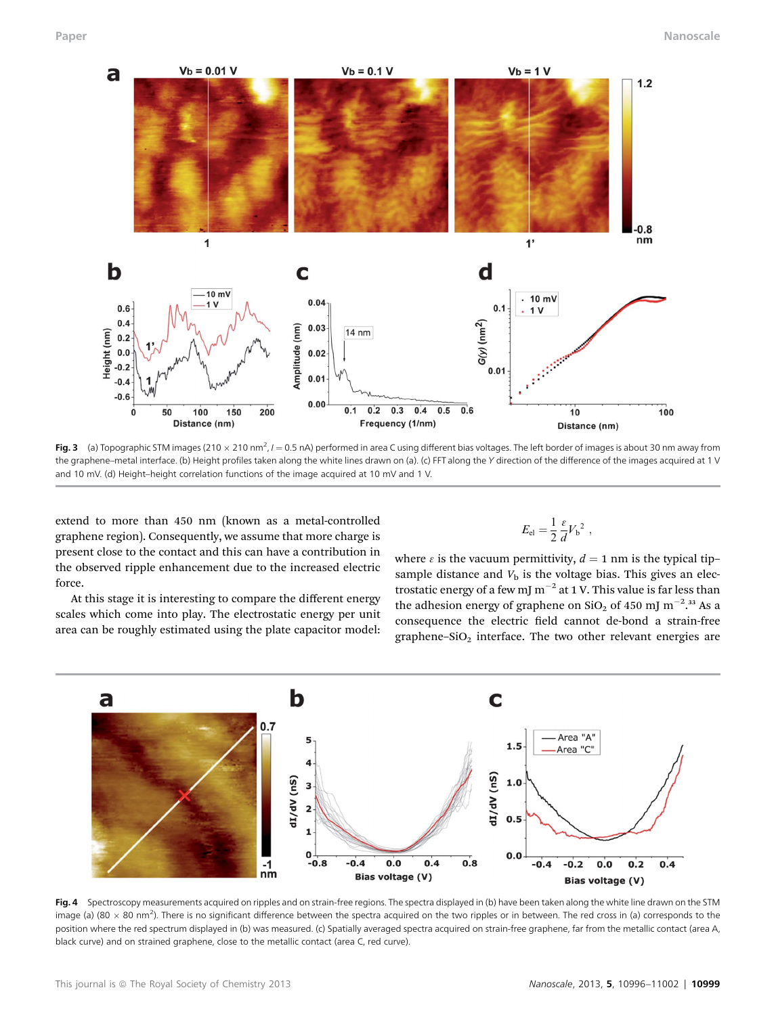

**Fig. 3** (a) Topographic STM images (210  $\times$  210 nm<sup>2</sup>, / = 0.5 nA) performed in area C using different bias voltages. The left border of images is about 30 nm away from the graphene–metal interface. (b) Height profiles taken along the white lines drawn on (a). (c) FFT along the Y direction of the difference of the images acquired at 1 V and 10 mV. (d) Height–height correlation functions of the image acquired at 10 mV and 1 V.

extend to more than 450 nm (known as a metal-controlled graphene region). Consequently, we assume that more charge is present close to the contact and this can have a contribution in the observed ripple enhancement due to the increased electric force.

At this stage it is interesting to compare the different energy scales which come into play. The electrostatic energy per unit area can be roughly estimated using the plate capacitor model:

$$
E_{\rm el} = \frac{1}{2} \frac{\varepsilon}{d} V_{\rm b}{}^2 \ ,
$$

where  $\epsilon$  is the vacuum permittivity,  $d = 1$  nm is the typical tip– sample distance and  $V<sub>b</sub>$  is the voltage bias. This gives an electrostatic energy of a few mJ  $m^{-2}$  at 1 V. This value is far less than the adhesion energy of graphene on  $\rm SiO_2$  of 450 mJ m<sup>-2</sup>.<sup>33</sup> As a consequence the electric field cannot de-bond a strain-free graphene– $SiO<sub>2</sub>$  interface. The two other relevant energies are



Fig. 4 Spectroscopy measurements acquired on ripples and on strain-free regions. The spectra displayed in (b) have been taken along the white line drawn on the STM image (a) (80  $\times$  80 nm<sup>2</sup>). There is no significant difference between the spectra acquired on the two ripples or in between. The red cross in (a) corresponds to the position where the red spectrum displayed in (b) was measured. (c) Spatially averaged spectra acquired on strain-free graphene, far from the metallic contact (area A, black curve) and on strained graphene, close to the metallic contact (area C, red curve).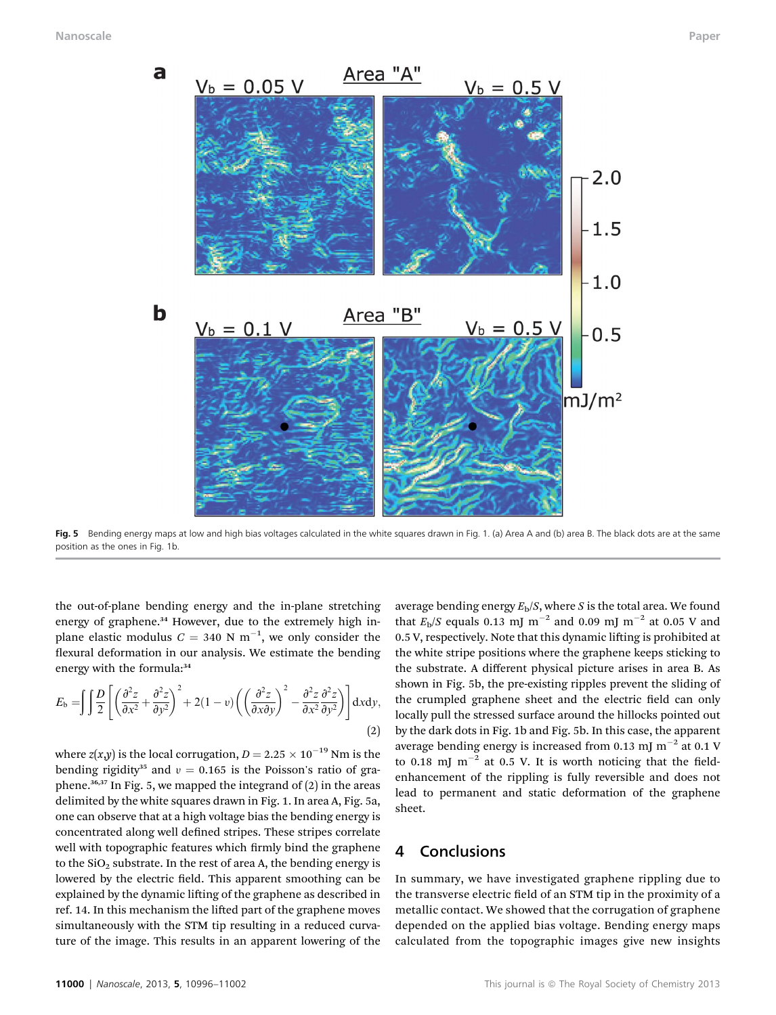

Fig. 5 Bending energy maps at low and high bias voltages calculated in the white squares drawn in Fig. 1. (a) Area A and (b) area B. The black dots are at the same position as the ones in Fig. 1b.

the out-of-plane bending energy and the in-plane stretching energy of graphene.<sup>34</sup> However, due to the extremely high inplane elastic modulus  $C = 340$  N m<sup>-1</sup>, we only consider the flexural deformation in our analysis. We estimate the bending energy with the formula:<sup>34</sup>

$$
E_{\rm b} = \iiint \frac{D}{2} \left[ \left( \frac{\partial^2 z}{\partial x^2} + \frac{\partial^2 z}{\partial y^2} \right)^2 + 2(1 - v) \left( \left( \frac{\partial^2 z}{\partial x \partial y} \right)^2 - \frac{\partial^2 z}{\partial x^2} \frac{\partial^2 z}{\partial y^2} \right) \right] dxdy,
$$
\n(2)

where  $z(x,y)$  is the local corrugation,  $D = 2.25 \times 10^{-19}$  Nm is the bending rigidity<sup>35</sup> and  $v = 0.165$  is the Poisson's ratio of graphene. $36,37$  In Fig. 5, we mapped the integrand of  $(2)$  in the areas delimited by the white squares drawn in Fig. 1. In area A, Fig. 5a, one can observe that at a high voltage bias the bending energy is concentrated along well defined stripes. These stripes correlate well with topographic features which firmly bind the graphene to the  $SiO<sub>2</sub>$  substrate. In the rest of area A, the bending energy is lowered by the electric field. This apparent smoothing can be explained by the dynamic lifting of the graphene as described in ref. 14. In this mechanism the lifted part of the graphene moves simultaneously with the STM tip resulting in a reduced curvature of the image. This results in an apparent lowering of the

average bending energy  $E<sub>b</sub>/S$ , where S is the total area. We found that  $E_{\rm b}/S$  equals 0.13 mJ m<sup>-2</sup> and 0.09 mJ m<sup>-2</sup> at 0.05 V and 0.5 V, respectively. Note that this dynamic lifting is prohibited at the white stripe positions where the graphene keeps sticking to the substrate. A different physical picture arises in area B. As shown in Fig. 5b, the pre-existing ripples prevent the sliding of the crumpled graphene sheet and the electric field can only locally pull the stressed surface around the hillocks pointed out by the dark dots in Fig. 1b and Fig. 5b. In this case, the apparent average bending energy is increased from 0.13 mJ  $m^{-2}$  at 0.1 V to 0.18 mJ  $m^{-2}$  at 0.5 V. It is worth noticing that the fieldenhancement of the rippling is fully reversible and does not lead to permanent and static deformation of the graphene sheet.

#### 4 Conclusions

In summary, we have investigated graphene rippling due to the transverse electric field of an STM tip in the proximity of a metallic contact. We showed that the corrugation of graphene depended on the applied bias voltage. Bending energy maps calculated from the topographic images give new insights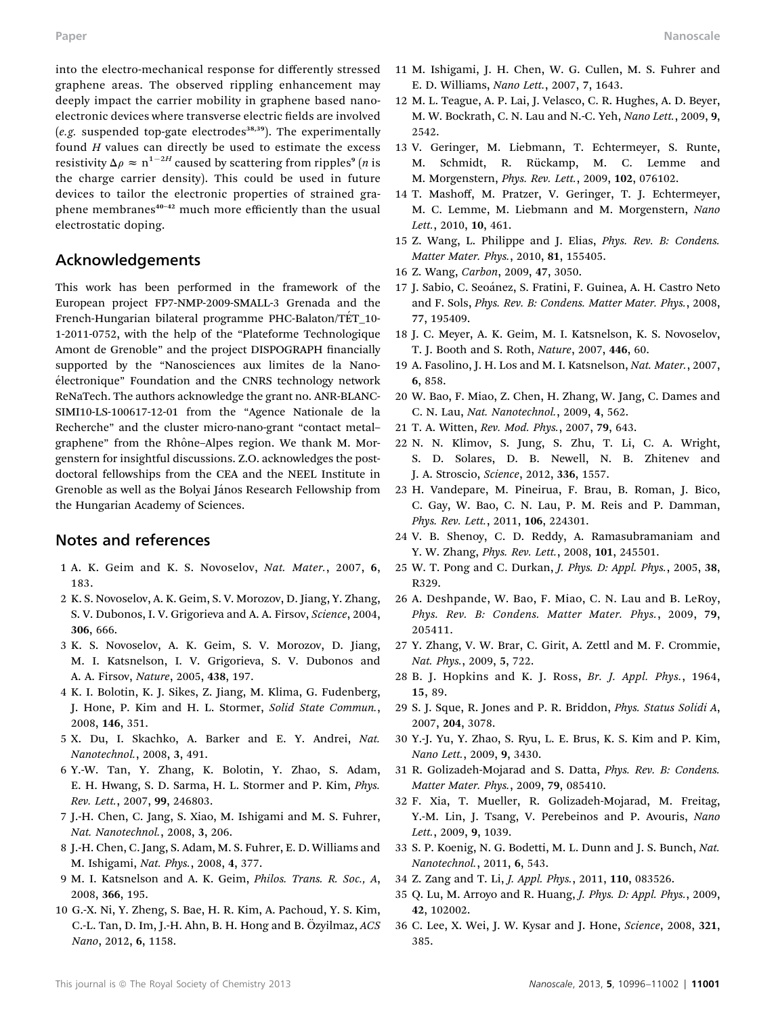into the electro-mechanical response for differently stressed graphene areas. The observed rippling enhancement may deeply impact the carrier mobility in graphene based nanoelectronic devices where transverse electric fields are involved (e.g. suspended top-gate electrodes<sup>38,39</sup>). The experimentally found  $H$  values can directly be used to estimate the excess resistivity  $\Delta \rho \approx n^{1-2H}$  caused by scattering from ripples<sup>9</sup> (*n* is the charge carrier density). This could be used in future devices to tailor the electronic properties of strained graphene membranes<sup>40-42</sup> much more efficiently than the usual electrostatic doping.

#### Acknowledgements

This work has been performed in the framework of the European project FP7-NMP-2009-SMALL-3 Grenada and the French-Hungarian bilateral programme PHC-Balaton/TET 10-1-2011-0752, with the help of the "Plateforme Technologique Amont de Grenoble" and the project DISPOGRAPH financially supported by the "Nanosciences aux limites de la Nano- ´electronique" Foundation and the CNRS technology network ReNaTech. The authors acknowledge the grant no. ANR-BLANC-SIMI10-LS-100617-12-01 from the "Agence Nationale de la Recherche" and the cluster micro-nano-grant "contact metal– graphene" from the Rhône-Alpes region. We thank M. Morgenstern for insightful discussions. Z.O. acknowledges the postdoctoral fellowships from the CEA and the NEEL Institute in Grenoble as well as the Bolyai János Research Fellowship from the Hungarian Academy of Sciences.

#### Notes and references

- 1 A. K. Geim and K. S. Novoselov, Nat. Mater., 2007, 6, 183.
- 2 K. S. Novoselov, A. K. Geim, S. V. Morozov, D. Jiang, Y. Zhang, S. V. Dubonos, I. V. Grigorieva and A. A. Firsov, Science, 2004, 306, 666.
- 3 K. S. Novoselov, A. K. Geim, S. V. Morozov, D. Jiang, M. I. Katsnelson, I. V. Grigorieva, S. V. Dubonos and A. A. Firsov, Nature, 2005, 438, 197.
- 4 K. I. Bolotin, K. J. Sikes, Z. Jiang, M. Klima, G. Fudenberg, J. Hone, P. Kim and H. L. Stormer, Solid State Commun., 2008, 146, 351.
- 5 X. Du, I. Skachko, A. Barker and E. Y. Andrei, Nat. Nanotechnol., 2008, 3, 491.
- 6 Y.-W. Tan, Y. Zhang, K. Bolotin, Y. Zhao, S. Adam, E. H. Hwang, S. D. Sarma, H. L. Stormer and P. Kim, Phys. Rev. Lett., 2007, 99, 246803.
- 7 J.-H. Chen, C. Jang, S. Xiao, M. Ishigami and M. S. Fuhrer, Nat. Nanotechnol., 2008, 3, 206.
- 8 J.-H. Chen, C. Jang, S. Adam, M. S. Fuhrer, E. D. Williams and M. Ishigami, Nat. Phys., 2008, 4, 377.
- 9 M. I. Katsnelson and A. K. Geim, Philos. Trans. R. Soc., A, 2008, 366, 195.
- 10 G.-X. Ni, Y. Zheng, S. Bae, H. R. Kim, A. Pachoud, Y. S. Kim, C.-L. Tan, D. Im, J.-H. Ahn, B. H. Hong and B. Özyilmaz, ACS Nano, 2012, 6, 1158.
- 11 M. Ishigami, J. H. Chen, W. G. Cullen, M. S. Fuhrer and E. D. Williams, Nano Lett., 2007, 7, 1643.
- 12 M. L. Teague, A. P. Lai, J. Velasco, C. R. Hughes, A. D. Beyer, M. W. Bockrath, C. N. Lau and N.-C. Yeh, Nano Lett., 2009, 9, 2542.
- 13 V. Geringer, M. Liebmann, T. Echtermeyer, S. Runte, M. Schmidt, R. Rückamp, M. C. Lemme and M. Morgenstern, Phys. Rev. Lett., 2009, 102, 076102.
- 14 T. Mashoff, M. Pratzer, V. Geringer, T. J. Echtermeyer, M. C. Lemme, M. Liebmann and M. Morgenstern, Nano Lett., 2010, 10, 461.
- 15 Z. Wang, L. Philippe and J. Elias, Phys. Rev. B: Condens. Matter Mater. Phys., 2010, 81, 155405.
- 16 Z. Wang, Carbon, 2009, 47, 3050.
- 17 J. Sabio, C. Seo´anez, S. Fratini, F. Guinea, A. H. Castro Neto and F. Sols, Phys. Rev. B: Condens. Matter Mater. Phys., 2008, 77, 195409.
- 18 J. C. Meyer, A. K. Geim, M. I. Katsnelson, K. S. Novoselov, T. J. Booth and S. Roth, Nature, 2007, 446, 60.
- 19 A. Fasolino, J. H. Los and M. I. Katsnelson, Nat. Mater., 2007, 6, 858.
- 20 W. Bao, F. Miao, Z. Chen, H. Zhang, W. Jang, C. Dames and C. N. Lau, Nat. Nanotechnol., 2009, 4, 562.
- 21 T. A. Witten, Rev. Mod. Phys., 2007, 79, 643.
- 22 N. N. Klimov, S. Jung, S. Zhu, T. Li, C. A. Wright, S. D. Solares, D. B. Newell, N. B. Zhitenev and J. A. Stroscio, Science, 2012, 336, 1557.
- 23 H. Vandepare, M. Pineirua, F. Brau, B. Roman, J. Bico, C. Gay, W. Bao, C. N. Lau, P. M. Reis and P. Damman, Phys. Rev. Lett., 2011, 106, 224301.
- 24 V. B. Shenoy, C. D. Reddy, A. Ramasubramaniam and Y. W. Zhang, Phys. Rev. Lett., 2008, 101, 245501.
- 25 W. T. Pong and C. Durkan, J. Phys. D: Appl. Phys., 2005, 38, R329.
- 26 A. Deshpande, W. Bao, F. Miao, C. N. Lau and B. LeRoy, Phys. Rev. B: Condens. Matter Mater. Phys., 2009, 79, 205411.
- 27 Y. Zhang, V. W. Brar, C. Girit, A. Zettl and M. F. Crommie, Nat. Phys., 2009, 5, 722.
- 28 B. J. Hopkins and K. J. Ross, Br. J. Appl. Phys., 1964, 15, 89.
- 29 S. J. Sque, R. Jones and P. R. Briddon, Phys. Status Solidi A, 2007, 204, 3078.
- 30 Y.-J. Yu, Y. Zhao, S. Ryu, L. E. Brus, K. S. Kim and P. Kim, Nano Lett., 2009, 9, 3430.
- 31 R. Golizadeh-Mojarad and S. Datta, Phys. Rev. B: Condens. Matter Mater. Phys., 2009, 79, 085410.
- 32 F. Xia, T. Mueller, R. Golizadeh-Mojarad, M. Freitag, Y.-M. Lin, J. Tsang, V. Perebeinos and P. Avouris, Nano Lett., 2009, 9, 1039.
- 33 S. P. Koenig, N. G. Bodetti, M. L. Dunn and J. S. Bunch, Nat. Nanotechnol., 2011, 6, 543.
- 34 Z. Zang and T. Li, J. Appl. Phys., 2011, 110, 083526.
- 35 Q. Lu, M. Arroyo and R. Huang, J. Phys. D: Appl. Phys., 2009, 42, 102002.
- 36 C. Lee, X. Wei, J. W. Kysar and J. Hone, Science, 2008, 321, 385.